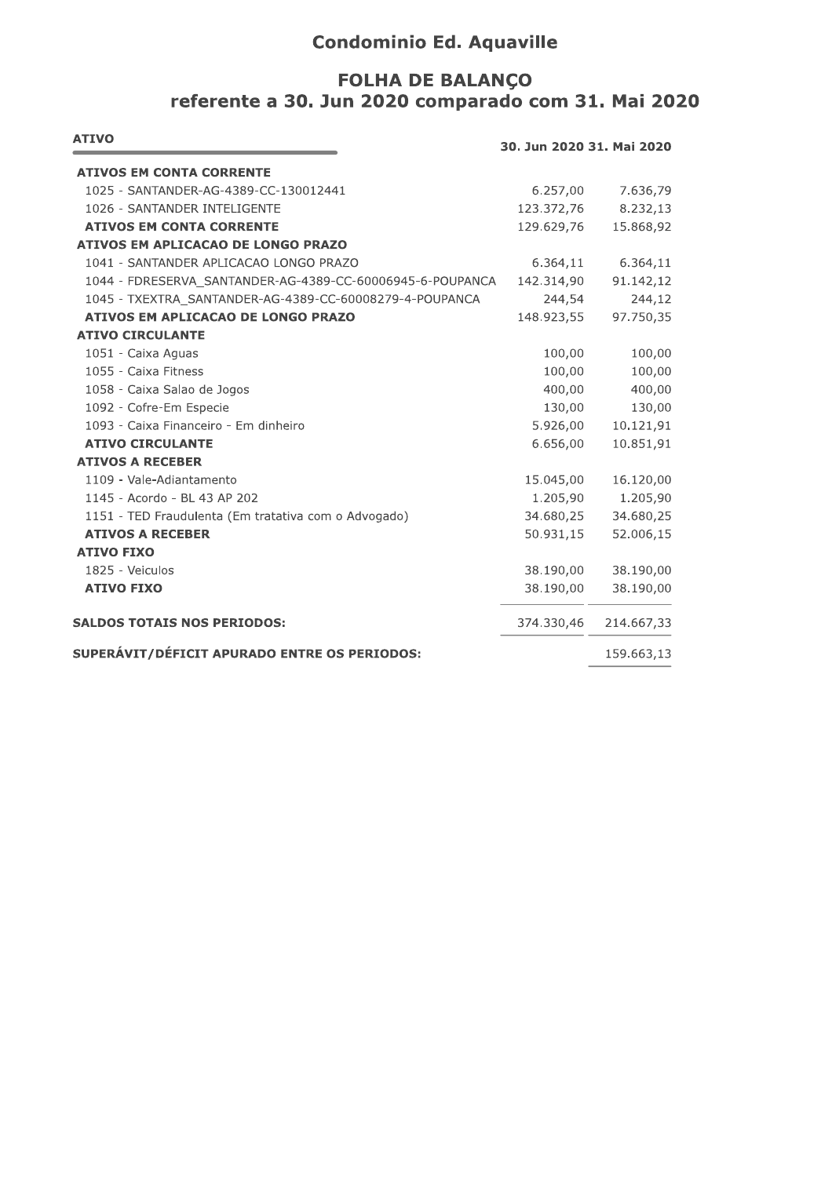## **Condominio Ed. Aquaville**

## **FOLHA DE BALANÇO** referente a 30. Jun 2020 comparado com 31. Mai 2020

| <b>ATIVO</b>                                              | 30. Jun 2020 31. Mai 2020 |            |
|-----------------------------------------------------------|---------------------------|------------|
| <b>ATIVOS EM CONTA CORRENTE</b>                           |                           |            |
| 1025 - SANTANDER-AG-4389-CC-130012441                     | 6.257,00                  | 7.636,79   |
| 1026 - SANTANDER INTELIGENTE                              | 123.372,76                | 8.232,13   |
| <b>ATIVOS EM CONTA CORRENTE</b>                           | 129.629,76                | 15.868,92  |
| ATIVOS EM APLICACAO DE LONGO PRAZO                        |                           |            |
| 1041 - SANTANDER APLICACAO LONGO PRAZO                    | 6.364,11                  | 6.364,11   |
| 1044 - FDRESERVA SANTANDER-AG-4389-CC-60006945-6-POUPANCA | 142.314,90                | 91.142,12  |
| 1045 - TXEXTRA SANTANDER-AG-4389-CC-60008279-4-POUPANCA   | 244,54                    | 244,12     |
| ATIVOS EM APLICACAO DE LONGO PRAZO                        | 148.923,55                | 97.750,35  |
| <b>ATIVO CIRCULANTE</b>                                   |                           |            |
| 1051 - Caixa Aguas                                        | 100,00                    | 100,00     |
| 1055 - Caixa Fitness                                      | 100,00                    | 100,00     |
| 1058 - Caixa Salao de Jogos                               | 400,00                    | 400,00     |
| 1092 - Cofre-Em Especie                                   | 130,00                    | 130,00     |
| 1093 - Caixa Financeiro - Em dinheiro                     | 5.926,00                  | 10.121,91  |
| <b>ATIVO CIRCULANTE</b>                                   | 6.656,00                  | 10.851,91  |
| <b>ATIVOS A RECEBER</b>                                   |                           |            |
| 1109 - Vale-Adiantamento                                  | 15.045,00                 | 16.120,00  |
| 1145 - Acordo - BL 43 AP 202                              | 1.205,90                  | 1.205,90   |
| 1151 - TED Fraudulenta (Em tratativa com o Advogado)      | 34.680,25                 | 34.680,25  |
| <b>ATIVOS A RECEBER</b>                                   | 50.931,15                 | 52.006,15  |
| <b>ATIVO FIXO</b>                                         |                           |            |
| 1825 - Veiculos                                           | 38.190,00                 | 38.190,00  |
| <b>ATIVO FIXO</b>                                         | 38.190,00                 | 38.190,00  |
| <b>SALDOS TOTAIS NOS PERIODOS:</b>                        | 374.330,46                | 214.667,33 |
| SUPERÁVIT/DÉFICIT APURADO ENTRE OS PERIODOS:              |                           | 159.663,13 |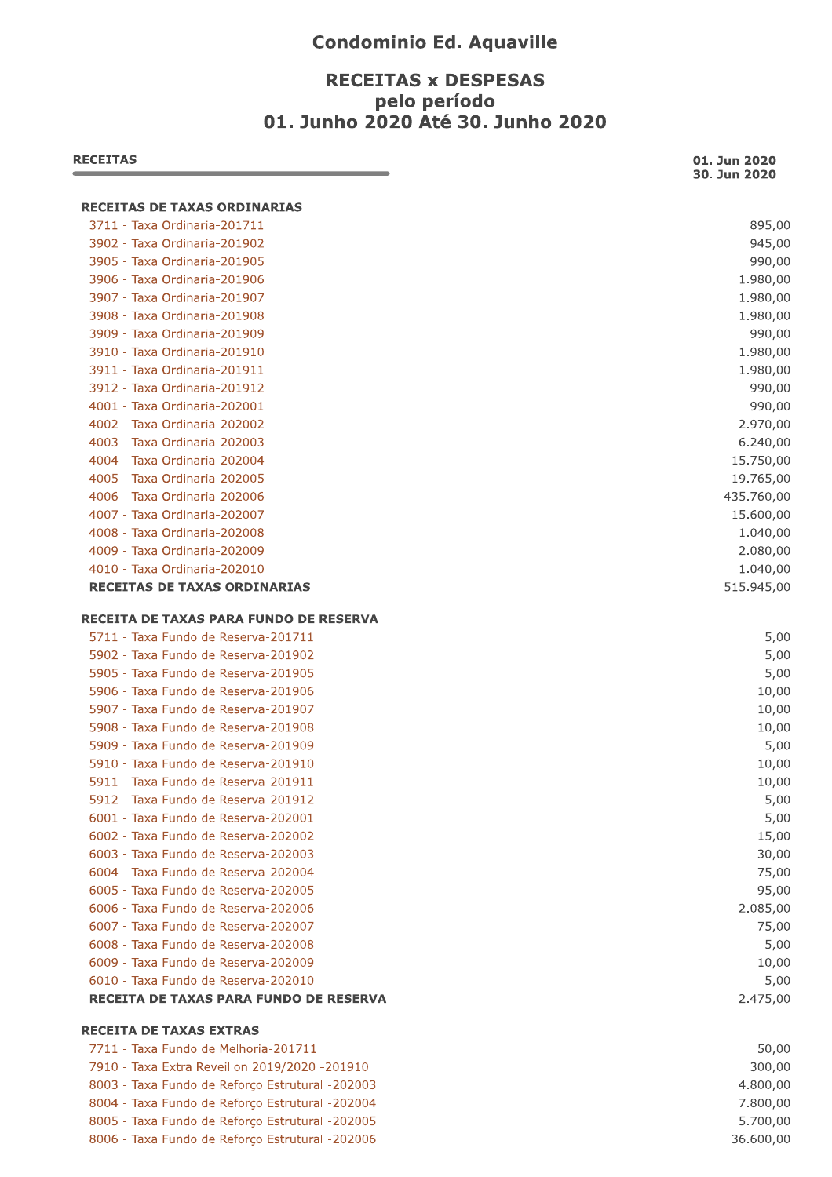## **Condominio Ed. Aquaville**

## **RECEITAS x DESPESAS** pelo período 01. Junho 2020 Até 30. Junho 2020

| <b>RECEITAS</b>                                                               | 01. Jun 2020<br>30. Jun 2020 |
|-------------------------------------------------------------------------------|------------------------------|
| <b>RECEITAS DE TAXAS ORDINARIAS</b>                                           |                              |
| 3711 - Taxa Ordinaria-201711                                                  | 895,00                       |
| 3902 - Taxa Ordinaria-201902                                                  | 945,00                       |
| 3905 - Taxa Ordinaria-201905                                                  | 990,00                       |
| 3906 - Taxa Ordinaria-201906                                                  | 1.980,00                     |
| 3907 - Taxa Ordinaria-201907                                                  | 1.980,00                     |
| 3908 - Taxa Ordinaria-201908                                                  | 1.980,00                     |
| 3909 - Taxa Ordinaria-201909                                                  | 990,00                       |
| 3910 - Taxa Ordinaria-201910                                                  | 1.980,00                     |
| 3911 - Taxa Ordinaria-201911                                                  | 1.980,00                     |
| 3912 - Taxa Ordinaria-201912                                                  | 990,00                       |
| 4001 - Taxa Ordinaria-202001                                                  | 990,00                       |
| 4002 - Taxa Ordinaria-202002                                                  | 2.970,00                     |
| 4003 - Taxa Ordinaria-202003                                                  | 6.240,00                     |
| 4004 - Taxa Ordinaria-202004                                                  | 15.750,00                    |
| 4005 - Taxa Ordinaria-202005                                                  | 19.765,00                    |
| 4006 - Taxa Ordinaria-202006                                                  | 435.760,00                   |
| 4007 - Taxa Ordinaria-202007                                                  | 15.600,00                    |
| 4008 - Taxa Ordinaria-202008                                                  | 1.040,00                     |
| 4009 - Taxa Ordinaria-202009                                                  | 2.080,00                     |
| 4010 - Taxa Ordinaria-202010                                                  | 1.040,00                     |
| <b>RECEITAS DE TAXAS ORDINARIAS</b>                                           | 515.945,00                   |
| RECEITA DE TAXAS PARA FUNDO DE RESERVA                                        |                              |
| 5711 - Taxa Fundo de Reserva-201711                                           | 5,00                         |
| 5902 - Taxa Fundo de Reserva-201902                                           | 5,00                         |
| 5905 - Taxa Fundo de Reserva-201905                                           | 5,00                         |
| 5906 - Taxa Fundo de Reserva-201906                                           | 10,00                        |
| 5907 - Taxa Fundo de Reserva-201907                                           | 10,00                        |
| 5908 - Taxa Fundo de Reserva-201908                                           | 10,00                        |
| 5909 - Taxa Fundo de Reserva-201909                                           | 5,00                         |
| 5910 - Taxa Fundo de Reserva-201910                                           | 10,00                        |
| 5911 - Taxa Fundo de Reserva-201911                                           | 10,00                        |
| 5912 - Taxa Fundo de Reserva-201912                                           | 5,00                         |
| 6001 - Taxa Fundo de Reserva-202001                                           | 5,00                         |
| 6002 - Taxa Fundo de Reserva-202002                                           | 15,00                        |
| 6003 - Taxa Fundo de Reserva-202003                                           | 30,00                        |
| 6004 - Taxa Fundo de Reserva-202004                                           | 75,00                        |
| 6005 - Taxa Fundo de Reserva-202005                                           | 95,00                        |
| 6006 - Taxa Fundo de Reserva-202006                                           | 2.085,00                     |
| 6007 - Taxa Fundo de Reserva-202007                                           | 75,00                        |
| 6008 - Taxa Fundo de Reserva-202008                                           | 5,00                         |
| 6009 - Taxa Fundo de Reserva-202009                                           | 10,00                        |
| 6010 - Taxa Fundo de Reserva-202010<br>RECEITA DE TAXAS PARA FUNDO DE RESERVA | 5,00<br>2.475,00             |
| <b>RECEITA DE TAXAS EXTRAS</b>                                                |                              |
| 7711 - Taxa Fundo de Melhoria-201711                                          | 50,00                        |
| 7910 - Taxa Extra Reveillon 2019/2020 -201910                                 | 300,00                       |
| 8003 - Taxa Fundo de Reforço Estrutural -202003                               | 4.800,00                     |
| 8004 - Taxa Fundo de Reforço Estrutural -202004                               | 7.800,00                     |
| 8005 - Taxa Fundo de Reforço Estrutural -202005                               | 5.700,00                     |
| 8006 - Taxa Fundo de Reforço Estrutural -202006                               | 36.600,00                    |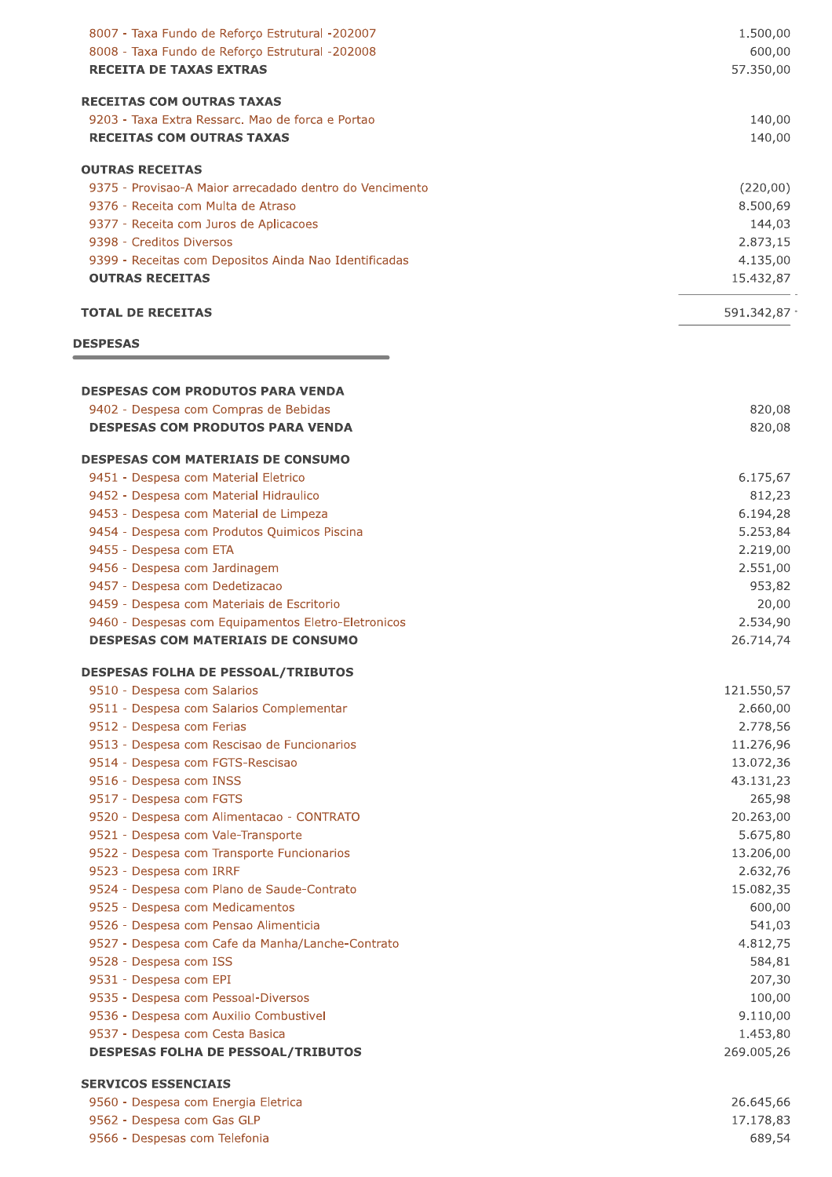| 8007 - Taxa Fundo de Reforço Estrutural -202007<br>8008 - Taxa Fundo de Reforço Estrutural -202008 | 1.500,00<br>600,00    |
|----------------------------------------------------------------------------------------------------|-----------------------|
| <b>RECEITA DE TAXAS EXTRAS</b>                                                                     | 57.350,00             |
| <b>RECEITAS COM OUTRAS TAXAS</b>                                                                   |                       |
| 9203 - Taxa Extra Ressarc, Mao de forca e Portao                                                   | 140,00                |
| <b>RECEITAS COM OUTRAS TAXAS</b>                                                                   | 140,00                |
| <b>OUTRAS RECEITAS</b>                                                                             |                       |
| 9375 - Provisao-A Maior arrecadado dentro do Vencimento                                            | (220,00)              |
| 9376 - Receita com Multa de Atraso                                                                 | 8.500,69              |
| 9377 - Receita com Juros de Aplicacoes                                                             | 144,03                |
| 9398 - Creditos Diversos                                                                           | 2.873,15              |
| 9399 - Receitas com Depositos Ainda Nao Identificadas                                              | 4.135,00              |
| <b>OUTRAS RECEITAS</b>                                                                             | 15.432,87             |
| <b>TOTAL DE RECEITAS</b>                                                                           | 591.342,87 $\cdot$    |
| <b>DESPESAS</b>                                                                                    |                       |
|                                                                                                    |                       |
| <b>DESPESAS COM PRODUTOS PARA VENDA</b><br>9402 - Despesa com Compras de Bebidas                   | 820,08                |
| <b>DESPESAS COM PRODUTOS PARA VENDA</b>                                                            | 820,08                |
| <b>DESPESAS COM MATERIAIS DE CONSUMO</b>                                                           |                       |
| 9451 - Despesa com Material Eletrico                                                               | 6.175,67              |
| 9452 - Despesa com Material Hidraulico                                                             | 812,23                |
| 9453 - Despesa com Material de Limpeza                                                             | 6.194,28              |
| 9454 - Despesa com Produtos Quimicos Piscina                                                       | 5.253,84              |
| 9455 - Despesa com ETA                                                                             | 2.219,00              |
| 9456 - Despesa com Jardinagem                                                                      | 2.551,00              |
| 9457 - Despesa com Dedetizacao                                                                     | 953,82                |
| 9459 - Despesa com Materiais de Escritorio                                                         | 20,00                 |
| 9460 - Despesas com Equipamentos Eletro-Eletronicos<br><b>DESPESAS COM MATERIAIS DE CONSUMO</b>    | 2.534,90<br>26.714,74 |
| <b>DESPESAS FOLHA DE PESSOAL/TRIBUTOS</b>                                                          |                       |
| 9510 - Despesa com Salarios                                                                        | 121.550,57            |
| 9511 - Despesa com Salarios Complementar                                                           | 2.660,00              |
| 9512 - Despesa com Ferias                                                                          | 2.778,56              |
| 9513 - Despesa com Rescisao de Funcionarios                                                        | 11.276,96             |
| 9514 - Despesa com FGTS-Rescisao                                                                   | 13.072,36             |
| 9516 - Despesa com INSS                                                                            | 43.131,23             |
| 9517 - Despesa com FGTS                                                                            | 265,98                |
| 9520 - Despesa com Alimentacao - CONTRATO                                                          | 20.263,00             |
| 9521 - Despesa com Vale-Transporte                                                                 | 5.675,80              |
| 9522 - Despesa com Transporte Funcionarios                                                         | 13.206,00             |
| 9523 - Despesa com IRRF                                                                            | 2.632,76              |
| 9524 - Despesa com Plano de Saude-Contrato                                                         | 15.082,35             |
| 9525 - Despesa com Medicamentos                                                                    | 600,00                |
| 9526 - Despesa com Pensao Alimenticia                                                              | 541,03                |
| 9527 - Despesa com Cafe da Manha/Lanche-Contrato                                                   | 4.812,75              |
| 9528 - Despesa com ISS                                                                             | 584,81                |
| 9531 - Despesa com EPI                                                                             | 207,30                |
| 9535 - Despesa com Pessoal-Diversos                                                                | 100,00<br>9.110,00    |
| 9536 - Despesa com Auxilio Combustivel<br>9537 - Despesa com Cesta Basica                          | 1.453,80              |
| <b>DESPESAS FOLHA DE PESSOAL/TRIBUTOS</b>                                                          | 269.005,26            |
| <b>SERVICOS ESSENCIAIS</b>                                                                         |                       |
| 9560 - Despesa com Energia Eletrica                                                                | 26.645,66             |
| 9562 - Despesa com Gas GLP                                                                         | 17.178,83             |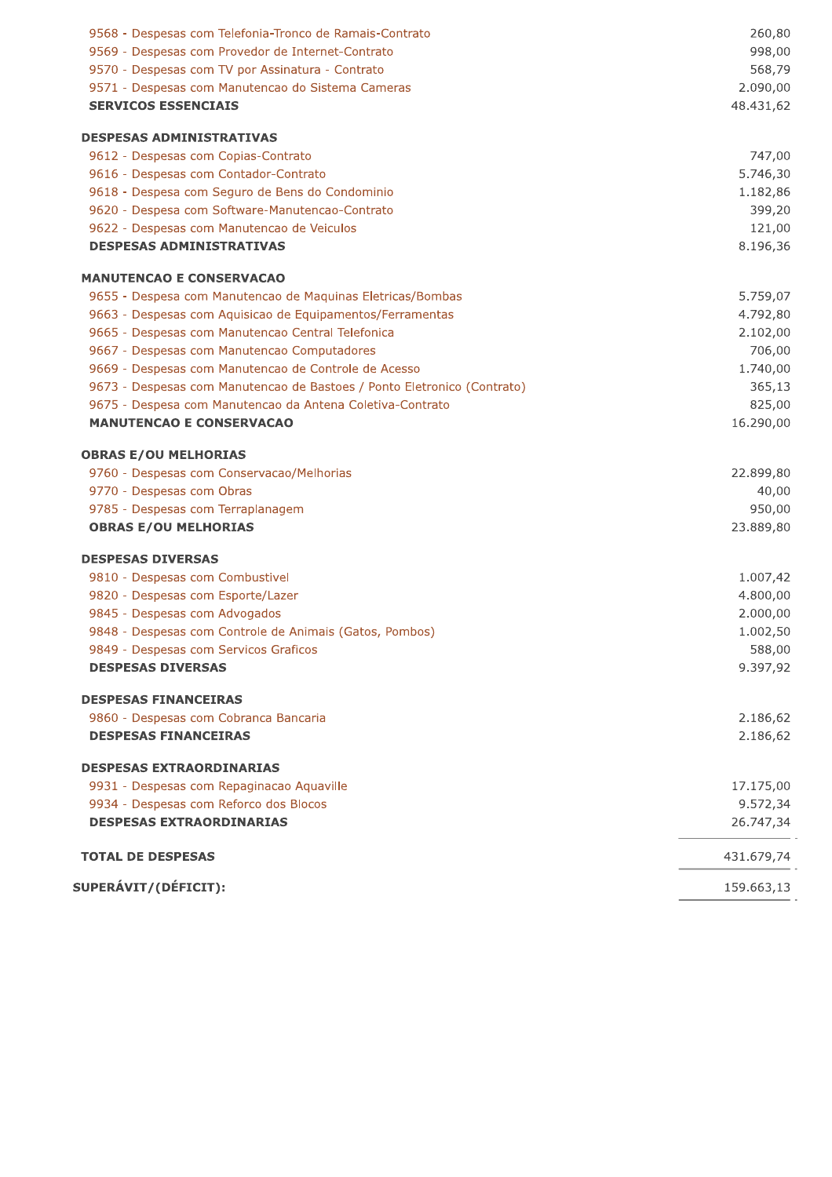| 9569 - Despesas com Provedor de Internet-Contrato<br>998,00<br>9570 - Despesas com TV por Assinatura - Contrato<br>568,79<br>9571 - Despesas com Manutencao do Sistema Cameras<br>2.090,00<br><b>SERVICOS ESSENCIAIS</b><br>48.431,62<br><b>DESPESAS ADMINISTRATIVAS</b><br>747,00<br>9612 - Despesas com Copias-Contrato<br>5.746,30<br>9616 - Despesas com Contador-Contrato<br>9618 - Despesa com Seguro de Bens do Condominio<br>1.182,86<br>9620 - Despesa com Software-Manutencao-Contrato<br>399,20<br>9622 - Despesas com Manutencao de Veiculos<br>121,00<br><b>DESPESAS ADMINISTRATIVAS</b><br>8.196,36<br><b>MANUTENCAO E CONSERVACAO</b><br>9655 - Despesa com Manutencao de Maquinas Eletricas/Bombas<br>5.759,07<br>4.792,80<br>9663 - Despesas com Aquisicao de Equipamentos/Ferramentas<br>9665 - Despesas com Manutencao Central Telefonica<br>2.102,00<br>706,00<br>9667 - Despesas com Manutencao Computadores<br>9669 - Despesas com Manutencao de Controle de Acesso<br>1.740,00<br>9673 - Despesas com Manutencao de Bastoes / Ponto Eletronico (Contrato)<br>365,13<br>9675 - Despesa com Manutencao da Antena Coletiva-Contrato<br>825,00<br><b>MANUTENCAO E CONSERVACAO</b><br>16.290,00<br><b>OBRAS E/OU MELHORIAS</b><br>9760 - Despesas com Conservacao/Melhorias<br>22.899,80<br>9770 - Despesas com Obras<br>40,00<br>9785 - Despesas com Terraplanagem<br>950,00<br><b>OBRAS E/OU MELHORIAS</b><br>23.889,80<br><b>DESPESAS DIVERSAS</b><br>9810 - Despesas com Combustivel<br>1.007,42<br>9820 - Despesas com Esporte/Lazer<br>4.800,00<br>9845 - Despesas com Advogados<br>2.000,00<br>9848 - Despesas com Controle de Animais (Gatos, Pombos)<br>1.002,50<br>588,00<br>9849 - Despesas com Servicos Graficos<br><b>DESPESAS DIVERSAS</b><br>9.397,92<br><b>DESPESAS FINANCEIRAS</b><br>9860 - Despesas com Cobranca Bancaria<br>2.186,62<br><b>DESPESAS FINANCEIRAS</b><br>2.186,62<br><b>DESPESAS EXTRAORDINARIAS</b><br>17.175,00<br>9931 - Despesas com Repaginacao Aquaville<br>9.572,34<br>9934 - Despesas com Reforco dos Blocos<br><b>DESPESAS EXTRAORDINARIAS</b><br>26.747,34<br><b>TOTAL DE DESPESAS</b><br>431.679,74<br>SUPERÁVIT/(DÉFICIT):<br>159.663,13 | 9568 - Despesas com Telefonia-Tronco de Ramais-Contrato | 260,80 |
|----------------------------------------------------------------------------------------------------------------------------------------------------------------------------------------------------------------------------------------------------------------------------------------------------------------------------------------------------------------------------------------------------------------------------------------------------------------------------------------------------------------------------------------------------------------------------------------------------------------------------------------------------------------------------------------------------------------------------------------------------------------------------------------------------------------------------------------------------------------------------------------------------------------------------------------------------------------------------------------------------------------------------------------------------------------------------------------------------------------------------------------------------------------------------------------------------------------------------------------------------------------------------------------------------------------------------------------------------------------------------------------------------------------------------------------------------------------------------------------------------------------------------------------------------------------------------------------------------------------------------------------------------------------------------------------------------------------------------------------------------------------------------------------------------------------------------------------------------------------------------------------------------------------------------------------------------------------------------------------------------------------------------------------------------------------------------------------------------------------------------------------------------------------------------------------------------------|---------------------------------------------------------|--------|
|                                                                                                                                                                                                                                                                                                                                                                                                                                                                                                                                                                                                                                                                                                                                                                                                                                                                                                                                                                                                                                                                                                                                                                                                                                                                                                                                                                                                                                                                                                                                                                                                                                                                                                                                                                                                                                                                                                                                                                                                                                                                                                                                                                                                          |                                                         |        |
|                                                                                                                                                                                                                                                                                                                                                                                                                                                                                                                                                                                                                                                                                                                                                                                                                                                                                                                                                                                                                                                                                                                                                                                                                                                                                                                                                                                                                                                                                                                                                                                                                                                                                                                                                                                                                                                                                                                                                                                                                                                                                                                                                                                                          |                                                         |        |
|                                                                                                                                                                                                                                                                                                                                                                                                                                                                                                                                                                                                                                                                                                                                                                                                                                                                                                                                                                                                                                                                                                                                                                                                                                                                                                                                                                                                                                                                                                                                                                                                                                                                                                                                                                                                                                                                                                                                                                                                                                                                                                                                                                                                          |                                                         |        |
|                                                                                                                                                                                                                                                                                                                                                                                                                                                                                                                                                                                                                                                                                                                                                                                                                                                                                                                                                                                                                                                                                                                                                                                                                                                                                                                                                                                                                                                                                                                                                                                                                                                                                                                                                                                                                                                                                                                                                                                                                                                                                                                                                                                                          |                                                         |        |
|                                                                                                                                                                                                                                                                                                                                                                                                                                                                                                                                                                                                                                                                                                                                                                                                                                                                                                                                                                                                                                                                                                                                                                                                                                                                                                                                                                                                                                                                                                                                                                                                                                                                                                                                                                                                                                                                                                                                                                                                                                                                                                                                                                                                          |                                                         |        |
|                                                                                                                                                                                                                                                                                                                                                                                                                                                                                                                                                                                                                                                                                                                                                                                                                                                                                                                                                                                                                                                                                                                                                                                                                                                                                                                                                                                                                                                                                                                                                                                                                                                                                                                                                                                                                                                                                                                                                                                                                                                                                                                                                                                                          |                                                         |        |
|                                                                                                                                                                                                                                                                                                                                                                                                                                                                                                                                                                                                                                                                                                                                                                                                                                                                                                                                                                                                                                                                                                                                                                                                                                                                                                                                                                                                                                                                                                                                                                                                                                                                                                                                                                                                                                                                                                                                                                                                                                                                                                                                                                                                          |                                                         |        |
|                                                                                                                                                                                                                                                                                                                                                                                                                                                                                                                                                                                                                                                                                                                                                                                                                                                                                                                                                                                                                                                                                                                                                                                                                                                                                                                                                                                                                                                                                                                                                                                                                                                                                                                                                                                                                                                                                                                                                                                                                                                                                                                                                                                                          |                                                         |        |
|                                                                                                                                                                                                                                                                                                                                                                                                                                                                                                                                                                                                                                                                                                                                                                                                                                                                                                                                                                                                                                                                                                                                                                                                                                                                                                                                                                                                                                                                                                                                                                                                                                                                                                                                                                                                                                                                                                                                                                                                                                                                                                                                                                                                          |                                                         |        |
|                                                                                                                                                                                                                                                                                                                                                                                                                                                                                                                                                                                                                                                                                                                                                                                                                                                                                                                                                                                                                                                                                                                                                                                                                                                                                                                                                                                                                                                                                                                                                                                                                                                                                                                                                                                                                                                                                                                                                                                                                                                                                                                                                                                                          |                                                         |        |
|                                                                                                                                                                                                                                                                                                                                                                                                                                                                                                                                                                                                                                                                                                                                                                                                                                                                                                                                                                                                                                                                                                                                                                                                                                                                                                                                                                                                                                                                                                                                                                                                                                                                                                                                                                                                                                                                                                                                                                                                                                                                                                                                                                                                          |                                                         |        |
|                                                                                                                                                                                                                                                                                                                                                                                                                                                                                                                                                                                                                                                                                                                                                                                                                                                                                                                                                                                                                                                                                                                                                                                                                                                                                                                                                                                                                                                                                                                                                                                                                                                                                                                                                                                                                                                                                                                                                                                                                                                                                                                                                                                                          |                                                         |        |
|                                                                                                                                                                                                                                                                                                                                                                                                                                                                                                                                                                                                                                                                                                                                                                                                                                                                                                                                                                                                                                                                                                                                                                                                                                                                                                                                                                                                                                                                                                                                                                                                                                                                                                                                                                                                                                                                                                                                                                                                                                                                                                                                                                                                          |                                                         |        |
|                                                                                                                                                                                                                                                                                                                                                                                                                                                                                                                                                                                                                                                                                                                                                                                                                                                                                                                                                                                                                                                                                                                                                                                                                                                                                                                                                                                                                                                                                                                                                                                                                                                                                                                                                                                                                                                                                                                                                                                                                                                                                                                                                                                                          |                                                         |        |
|                                                                                                                                                                                                                                                                                                                                                                                                                                                                                                                                                                                                                                                                                                                                                                                                                                                                                                                                                                                                                                                                                                                                                                                                                                                                                                                                                                                                                                                                                                                                                                                                                                                                                                                                                                                                                                                                                                                                                                                                                                                                                                                                                                                                          |                                                         |        |
|                                                                                                                                                                                                                                                                                                                                                                                                                                                                                                                                                                                                                                                                                                                                                                                                                                                                                                                                                                                                                                                                                                                                                                                                                                                                                                                                                                                                                                                                                                                                                                                                                                                                                                                                                                                                                                                                                                                                                                                                                                                                                                                                                                                                          |                                                         |        |
|                                                                                                                                                                                                                                                                                                                                                                                                                                                                                                                                                                                                                                                                                                                                                                                                                                                                                                                                                                                                                                                                                                                                                                                                                                                                                                                                                                                                                                                                                                                                                                                                                                                                                                                                                                                                                                                                                                                                                                                                                                                                                                                                                                                                          |                                                         |        |
|                                                                                                                                                                                                                                                                                                                                                                                                                                                                                                                                                                                                                                                                                                                                                                                                                                                                                                                                                                                                                                                                                                                                                                                                                                                                                                                                                                                                                                                                                                                                                                                                                                                                                                                                                                                                                                                                                                                                                                                                                                                                                                                                                                                                          |                                                         |        |
|                                                                                                                                                                                                                                                                                                                                                                                                                                                                                                                                                                                                                                                                                                                                                                                                                                                                                                                                                                                                                                                                                                                                                                                                                                                                                                                                                                                                                                                                                                                                                                                                                                                                                                                                                                                                                                                                                                                                                                                                                                                                                                                                                                                                          |                                                         |        |
|                                                                                                                                                                                                                                                                                                                                                                                                                                                                                                                                                                                                                                                                                                                                                                                                                                                                                                                                                                                                                                                                                                                                                                                                                                                                                                                                                                                                                                                                                                                                                                                                                                                                                                                                                                                                                                                                                                                                                                                                                                                                                                                                                                                                          |                                                         |        |
|                                                                                                                                                                                                                                                                                                                                                                                                                                                                                                                                                                                                                                                                                                                                                                                                                                                                                                                                                                                                                                                                                                                                                                                                                                                                                                                                                                                                                                                                                                                                                                                                                                                                                                                                                                                                                                                                                                                                                                                                                                                                                                                                                                                                          |                                                         |        |
|                                                                                                                                                                                                                                                                                                                                                                                                                                                                                                                                                                                                                                                                                                                                                                                                                                                                                                                                                                                                                                                                                                                                                                                                                                                                                                                                                                                                                                                                                                                                                                                                                                                                                                                                                                                                                                                                                                                                                                                                                                                                                                                                                                                                          |                                                         |        |
|                                                                                                                                                                                                                                                                                                                                                                                                                                                                                                                                                                                                                                                                                                                                                                                                                                                                                                                                                                                                                                                                                                                                                                                                                                                                                                                                                                                                                                                                                                                                                                                                                                                                                                                                                                                                                                                                                                                                                                                                                                                                                                                                                                                                          |                                                         |        |
|                                                                                                                                                                                                                                                                                                                                                                                                                                                                                                                                                                                                                                                                                                                                                                                                                                                                                                                                                                                                                                                                                                                                                                                                                                                                                                                                                                                                                                                                                                                                                                                                                                                                                                                                                                                                                                                                                                                                                                                                                                                                                                                                                                                                          |                                                         |        |
|                                                                                                                                                                                                                                                                                                                                                                                                                                                                                                                                                                                                                                                                                                                                                                                                                                                                                                                                                                                                                                                                                                                                                                                                                                                                                                                                                                                                                                                                                                                                                                                                                                                                                                                                                                                                                                                                                                                                                                                                                                                                                                                                                                                                          |                                                         |        |
|                                                                                                                                                                                                                                                                                                                                                                                                                                                                                                                                                                                                                                                                                                                                                                                                                                                                                                                                                                                                                                                                                                                                                                                                                                                                                                                                                                                                                                                                                                                                                                                                                                                                                                                                                                                                                                                                                                                                                                                                                                                                                                                                                                                                          |                                                         |        |
|                                                                                                                                                                                                                                                                                                                                                                                                                                                                                                                                                                                                                                                                                                                                                                                                                                                                                                                                                                                                                                                                                                                                                                                                                                                                                                                                                                                                                                                                                                                                                                                                                                                                                                                                                                                                                                                                                                                                                                                                                                                                                                                                                                                                          |                                                         |        |
|                                                                                                                                                                                                                                                                                                                                                                                                                                                                                                                                                                                                                                                                                                                                                                                                                                                                                                                                                                                                                                                                                                                                                                                                                                                                                                                                                                                                                                                                                                                                                                                                                                                                                                                                                                                                                                                                                                                                                                                                                                                                                                                                                                                                          |                                                         |        |
|                                                                                                                                                                                                                                                                                                                                                                                                                                                                                                                                                                                                                                                                                                                                                                                                                                                                                                                                                                                                                                                                                                                                                                                                                                                                                                                                                                                                                                                                                                                                                                                                                                                                                                                                                                                                                                                                                                                                                                                                                                                                                                                                                                                                          |                                                         |        |
|                                                                                                                                                                                                                                                                                                                                                                                                                                                                                                                                                                                                                                                                                                                                                                                                                                                                                                                                                                                                                                                                                                                                                                                                                                                                                                                                                                                                                                                                                                                                                                                                                                                                                                                                                                                                                                                                                                                                                                                                                                                                                                                                                                                                          |                                                         |        |
|                                                                                                                                                                                                                                                                                                                                                                                                                                                                                                                                                                                                                                                                                                                                                                                                                                                                                                                                                                                                                                                                                                                                                                                                                                                                                                                                                                                                                                                                                                                                                                                                                                                                                                                                                                                                                                                                                                                                                                                                                                                                                                                                                                                                          |                                                         |        |
|                                                                                                                                                                                                                                                                                                                                                                                                                                                                                                                                                                                                                                                                                                                                                                                                                                                                                                                                                                                                                                                                                                                                                                                                                                                                                                                                                                                                                                                                                                                                                                                                                                                                                                                                                                                                                                                                                                                                                                                                                                                                                                                                                                                                          |                                                         |        |
|                                                                                                                                                                                                                                                                                                                                                                                                                                                                                                                                                                                                                                                                                                                                                                                                                                                                                                                                                                                                                                                                                                                                                                                                                                                                                                                                                                                                                                                                                                                                                                                                                                                                                                                                                                                                                                                                                                                                                                                                                                                                                                                                                                                                          |                                                         |        |
|                                                                                                                                                                                                                                                                                                                                                                                                                                                                                                                                                                                                                                                                                                                                                                                                                                                                                                                                                                                                                                                                                                                                                                                                                                                                                                                                                                                                                                                                                                                                                                                                                                                                                                                                                                                                                                                                                                                                                                                                                                                                                                                                                                                                          |                                                         |        |
|                                                                                                                                                                                                                                                                                                                                                                                                                                                                                                                                                                                                                                                                                                                                                                                                                                                                                                                                                                                                                                                                                                                                                                                                                                                                                                                                                                                                                                                                                                                                                                                                                                                                                                                                                                                                                                                                                                                                                                                                                                                                                                                                                                                                          |                                                         |        |
|                                                                                                                                                                                                                                                                                                                                                                                                                                                                                                                                                                                                                                                                                                                                                                                                                                                                                                                                                                                                                                                                                                                                                                                                                                                                                                                                                                                                                                                                                                                                                                                                                                                                                                                                                                                                                                                                                                                                                                                                                                                                                                                                                                                                          |                                                         |        |
|                                                                                                                                                                                                                                                                                                                                                                                                                                                                                                                                                                                                                                                                                                                                                                                                                                                                                                                                                                                                                                                                                                                                                                                                                                                                                                                                                                                                                                                                                                                                                                                                                                                                                                                                                                                                                                                                                                                                                                                                                                                                                                                                                                                                          |                                                         |        |
|                                                                                                                                                                                                                                                                                                                                                                                                                                                                                                                                                                                                                                                                                                                                                                                                                                                                                                                                                                                                                                                                                                                                                                                                                                                                                                                                                                                                                                                                                                                                                                                                                                                                                                                                                                                                                                                                                                                                                                                                                                                                                                                                                                                                          |                                                         |        |
|                                                                                                                                                                                                                                                                                                                                                                                                                                                                                                                                                                                                                                                                                                                                                                                                                                                                                                                                                                                                                                                                                                                                                                                                                                                                                                                                                                                                                                                                                                                                                                                                                                                                                                                                                                                                                                                                                                                                                                                                                                                                                                                                                                                                          |                                                         |        |
|                                                                                                                                                                                                                                                                                                                                                                                                                                                                                                                                                                                                                                                                                                                                                                                                                                                                                                                                                                                                                                                                                                                                                                                                                                                                                                                                                                                                                                                                                                                                                                                                                                                                                                                                                                                                                                                                                                                                                                                                                                                                                                                                                                                                          |                                                         |        |
|                                                                                                                                                                                                                                                                                                                                                                                                                                                                                                                                                                                                                                                                                                                                                                                                                                                                                                                                                                                                                                                                                                                                                                                                                                                                                                                                                                                                                                                                                                                                                                                                                                                                                                                                                                                                                                                                                                                                                                                                                                                                                                                                                                                                          |                                                         |        |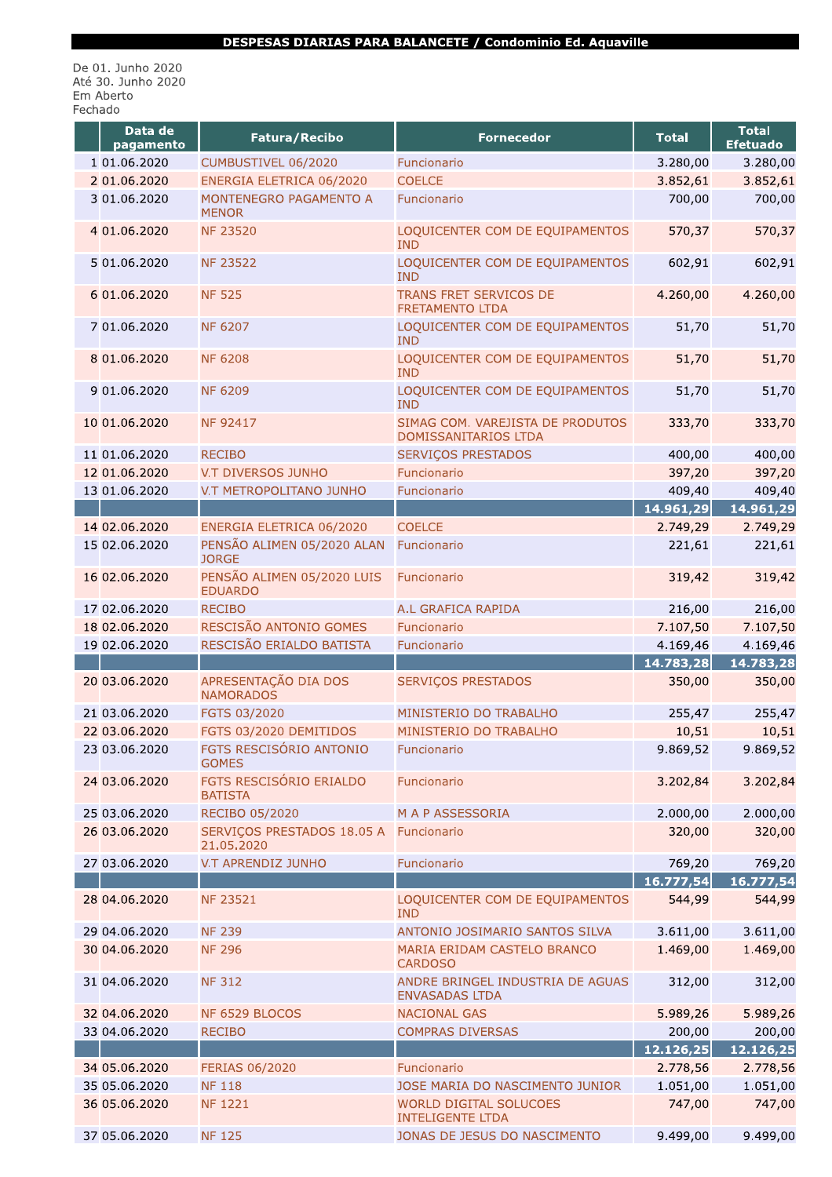De 01. Junho 2020<br>Até 30. Junho 2020 Em Aberto Fechado

| Data de<br>pagamento | Fatura/Recibo                                        | <b>Fornecedor</b>                                         | <b>Total</b> | <b>Total</b><br><b>Efetuado</b> |
|----------------------|------------------------------------------------------|-----------------------------------------------------------|--------------|---------------------------------|
| 1 01.06.2020         | CUMBUSTIVEL 06/2020                                  | Funcionario                                               | 3.280,00     | 3.280,00                        |
| 2 01.06.2020         | ENERGIA ELETRICA 06/2020                             | <b>COELCE</b>                                             | 3.852,61     | 3.852,61                        |
| 3 01.06.2020         | MONTENEGRO PAGAMENTO A<br><b>MENOR</b>               | Funcionario                                               | 700,00       | 700,00                          |
| 4 01.06.2020         | <b>NF 23520</b>                                      | LOQUICENTER COM DE EQUIPAMENTOS<br><b>IND</b>             | 570,37       | 570,37                          |
| 5 01.06.2020         | <b>NF 23522</b>                                      | LOQUICENTER COM DE EQUIPAMENTOS<br><b>IND</b>             | 602,91       | 602,91                          |
| 6 01.06.2020         | <b>NF 525</b>                                        | TRANS FRET SERVICOS DE<br><b>FRETAMENTO LTDA</b>          | 4.260,00     | 4.260,00                        |
| 7 01.06.2020         | <b>NF 6207</b>                                       | LOQUICENTER COM DE EQUIPAMENTOS<br><b>IND</b>             | 51,70        | 51,70                           |
| 8 01.06.2020         | <b>NF 6208</b>                                       | LOQUICENTER COM DE EQUIPAMENTOS<br><b>IND</b>             | 51,70        | 51,70                           |
| 9 01.06.2020         | <b>NF 6209</b>                                       | LOQUICENTER COM DE EQUIPAMENTOS<br><b>IND</b>             | 51,70        | 51,70                           |
| 10 01.06.2020        | NF 92417                                             | SIMAG COM. VAREJISTA DE PRODUTOS<br>DOMISSANITARIOS LTDA  | 333,70       | 333,70                          |
| 11 01.06.2020        | <b>RECIBO</b>                                        | SERVIÇOS PRESTADOS                                        | 400,00       | 400,00                          |
| 12 01.06.2020        | V.T DIVERSOS JUNHO                                   | Funcionario                                               | 397,20       | 397,20                          |
| 13 01.06.2020        | V.T METROPOLITANO JUNHO                              | Funcionario                                               | 409,40       | 409,40                          |
|                      |                                                      |                                                           | 14.961,29    | 14.961,29                       |
| 14 02.06.2020        | ENERGIA ELETRICA 06/2020                             | <b>COELCE</b>                                             | 2.749,29     | 2.749,29                        |
| 15 02.06.2020        | PENSÃO ALIMEN 05/2020 ALAN<br><b>JORGE</b>           | Funcionario                                               | 221,61       | 221,61                          |
| 16 02.06.2020        | PENSÃO ALIMEN 05/2020 LUIS<br><b>EDUARDO</b>         | Funcionario                                               | 319,42       | 319,42                          |
| 17 02.06.2020        | <b>RECIBO</b>                                        | A.L GRAFICA RAPIDA                                        | 216,00       | 216,00                          |
| 18 02.06.2020        | RESCISÃO ANTONIO GOMES                               | Funcionario                                               | 7.107,50     | 7.107,50                        |
| 19 02.06.2020        | RESCISÃO ERIALDO BATISTA                             | Funcionario                                               | 4.169,46     | 4.169,46                        |
|                      |                                                      |                                                           | 14.783,28    | 14.783,28                       |
| 20 03.06.2020        | APRESENTAÇÃO DIA DOS<br><b>NAMORADOS</b>             | <b>SERVIÇOS PRESTADOS</b>                                 | 350,00       | 350,00                          |
| 21 03.06.2020        | FGTS 03/2020                                         | MINISTERIO DO TRABALHO                                    | 255,47       | 255,47                          |
| 22 03.06.2020        | FGTS 03/2020 DEMITIDOS                               | MINISTERIO DO TRABALHO                                    | 10,51        | 10,51                           |
| 23 03.06.2020        | FGTS RESCISÓRIO ANTONIO<br><b>GOMES</b>              | Funcionario                                               | 9.869,52     | 9.869,52                        |
| 24 03.06.2020        | FGTS RESCISÓRIO ERIALDO<br><b>BATISTA</b>            | Funcionario                                               | 3.202,84     | 3.202,84                        |
| 25 03.06.2020        | <b>RECIBO 05/2020</b>                                | M A P ASSESSORIA                                          | 2.000,00     | 2.000,00                        |
| 26 03.06.2020        | SERVIÇOS PRESTADOS 18.05 A Funcionario<br>21.05.2020 |                                                           | 320,00       | 320,00                          |
| 27 03.06.2020        | V.T APRENDIZ JUNHO                                   | Funcionario                                               | 769,20       | 769,20                          |
|                      |                                                      |                                                           | 16.777,54    | 16.777,54                       |
| 28 04.06.2020        | <b>NF 23521</b>                                      | LOQUICENTER COM DE EQUIPAMENTOS<br><b>IND</b>             | 544,99       | 544,99                          |
| 29 04.06.2020        | <b>NF 239</b>                                        | ANTONIO JOSIMARIO SANTOS SILVA                            | 3.611,00     | 3.611,00                        |
| 30 04.06.2020        | <b>NF 296</b>                                        | MARIA ERIDAM CASTELO BRANCO<br><b>CARDOSO</b>             | 1.469,00     | 1.469,00                        |
| 31 04.06.2020        | <b>NF 312</b>                                        | ANDRE BRINGEL INDUSTRIA DE AGUAS<br><b>ENVASADAS LTDA</b> | 312,00       | 312,00                          |
| 32 04.06.2020        | NF 6529 BLOCOS                                       | <b>NACIONAL GAS</b>                                       | 5.989,26     | 5.989,26                        |
| 33 04.06.2020        | <b>RECIBO</b>                                        | <b>COMPRAS DIVERSAS</b>                                   | 200,00       | 200,00                          |
|                      |                                                      |                                                           | 12.126,25    | 12.126,25                       |
| 34 05.06.2020        | <b>FERIAS 06/2020</b>                                | Funcionario                                               | 2.778,56     | 2.778,56                        |
| 35 05.06.2020        | <b>NF 118</b>                                        | JOSE MARIA DO NASCIMENTO JUNIOR                           | 1.051,00     | 1.051,00                        |
| 36 05.06.2020        | <b>NF 1221</b>                                       | WORLD DIGITAL SOLUCOES<br><b>INTELIGENTE LTDA</b>         | 747,00       | 747,00                          |
| 37 05.06.2020        | <b>NF 125</b>                                        | JONAS DE JESUS DO NASCIMENTO                              | 9.499,00     | 9.499,00                        |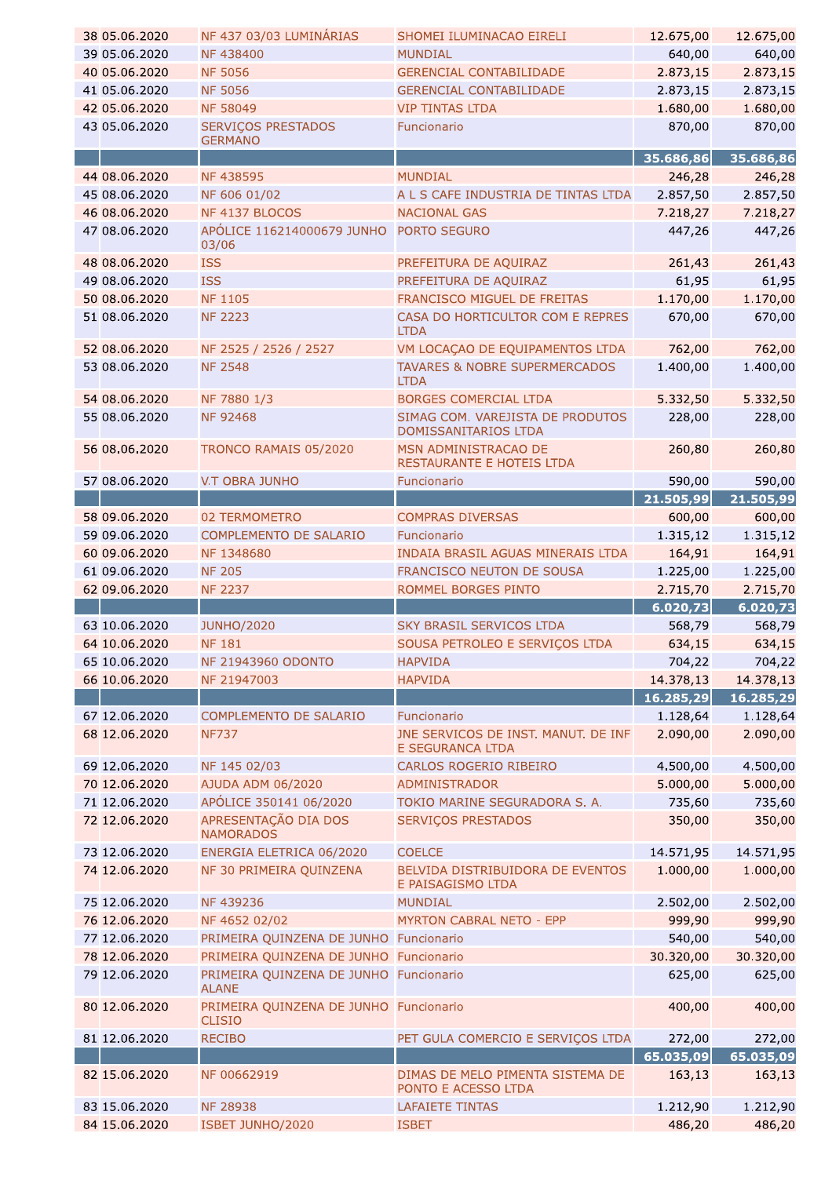| 38 05.06.2020 | NF 437 03/03 LUMINÁRIAS                                 | SHOMEI ILUMINACAO EIRELI                                 | 12.675,00 | 12.675,00 |
|---------------|---------------------------------------------------------|----------------------------------------------------------|-----------|-----------|
| 39 05.06.2020 | NF438400                                                | <b>MUNDIAL</b>                                           | 640,00    | 640,00    |
| 40 05.06.2020 | <b>NF 5056</b>                                          | <b>GERENCIAL CONTABILIDADE</b>                           | 2.873,15  | 2.873,15  |
| 41 05.06.2020 | <b>NF 5056</b>                                          | <b>GERENCIAL CONTABILIDADE</b>                           | 2.873,15  | 2.873,15  |
| 42 05.06.2020 | <b>NF 58049</b>                                         | <b>VIP TINTAS LTDA</b>                                   | 1.680,00  | 1.680,00  |
| 43 05.06.2020 | SERVIÇOS PRESTADOS                                      | Funcionario                                              | 870,00    | 870,00    |
|               | <b>GERMANO</b>                                          |                                                          |           |           |
|               |                                                         |                                                          | 35.686,86 | 35.686,86 |
| 44 08.06.2020 | <b>NF438595</b>                                         | <b>MUNDIAL</b>                                           | 246,28    | 246,28    |
| 45 08.06.2020 | NF 606 01/02                                            | A L S CAFE INDUSTRIA DE TINTAS LTDA                      | 2.857,50  | 2.857,50  |
| 46 08.06.2020 | NF 4137 BLOCOS                                          | <b>NACIONAL GAS</b>                                      | 7.218,27  | 7.218,27  |
| 47 08.06.2020 | APÓLICE 116214000679 JUNHO PORTO SEGURO<br>03/06        |                                                          | 447,26    | 447,26    |
| 48 08.06.2020 | <b>ISS</b>                                              | PREFEITURA DE AQUIRAZ                                    | 261,43    | 261,43    |
| 49 08.06.2020 | <b>ISS</b>                                              | PREFEITURA DE AQUIRAZ                                    | 61,95     | 61,95     |
| 50 08.06.2020 | <b>NF 1105</b>                                          | FRANCISCO MIGUEL DE FREITAS                              | 1.170,00  | 1.170,00  |
| 51 08.06.2020 | <b>NF 2223</b>                                          | CASA DO HORTICULTOR COM E REPRES<br><b>LTDA</b>          | 670,00    | 670,00    |
| 52 08.06.2020 | NF 2525 / 2526 / 2527                                   | VM LOCAÇÃO DE EQUIPAMENTOS LTDA                          | 762,00    | 762,00    |
| 53 08.06.2020 | <b>NF 2548</b>                                          | TAVARES & NOBRE SUPERMERCADOS<br><b>LTDA</b>             | 1.400,00  | 1.400,00  |
| 54 08.06.2020 | NF 7880 1/3                                             | BORGES COMERCIAL LTDA                                    | 5.332,50  | 5.332,50  |
| 55 08.06.2020 | <b>NF 92468</b>                                         | SIMAG COM. VAREJISTA DE PRODUTOS<br>DOMISSANITARIOS LTDA | 228,00    | 228,00    |
| 56 08.06.2020 | TRONCO RAMAIS 05/2020                                   | MSN ADMINISTRACAO DE<br>RESTAURANTE E HOTEIS LTDA        | 260,80    | 260,80    |
| 57 08.06.2020 | <b>V.T OBRA JUNHO</b>                                   | Funcionario                                              | 590,00    | 590,00    |
|               |                                                         |                                                          | 21.505,99 | 21.505,99 |
| 58 09.06.2020 | 02 TERMOMETRO                                           | <b>COMPRAS DIVERSAS</b>                                  | 600,00    | 600,00    |
| 59 09.06.2020 | COMPLEMENTO DE SALARIO                                  | Funcionario                                              | 1.315,12  | 1.315,12  |
| 60 09.06.2020 | NF 1348680                                              | INDAIA BRASIL AGUAS MINERAIS LTDA                        | 164,91    | 164,91    |
| 61 09.06.2020 | <b>NF 205</b>                                           | FRANCISCO NEUTON DE SOUSA                                | 1.225,00  | 1.225,00  |
|               |                                                         |                                                          |           |           |
| 62 09.06.2020 | <b>NF 2237</b>                                          | ROMMEL BORGES PINTO                                      | 2.715,70  | 2.715,70  |
|               |                                                         |                                                          | 6.020,73  | 6.020,73  |
| 63 10.06.2020 | <b>JUNHO/2020</b>                                       | <b>SKY BRASIL SERVICOS LTDA</b>                          | 568,79    | 568,79    |
| 64 10.06.2020 | <b>NF 181</b>                                           | SOUSA PETROLEO E SERVIÇOS LTDA                           | 634,15    | 634,15    |
| 65 10.06.2020 | NF 21943960 ODONTO                                      | <b>HAPVIDA</b>                                           | 704,22    | 704,22    |
| 66 10.06.2020 | NF 21947003                                             | <b>HAPVIDA</b>                                           | 14.378,13 | 14.378,13 |
|               |                                                         |                                                          | 16.285,29 | 16.285,29 |
| 67 12.06.2020 | <b>COMPLEMENTO DE SALARIO</b>                           | Funcionario                                              | 1.128,64  | 1.128,64  |
| 68 12.06.2020 | <b>NF737</b>                                            | JNE SERVICOS DE INST. MANUT. DE INF<br>E SEGURANCA LTDA  | 2.090,00  | 2.090,00  |
| 69 12.06.2020 | NF 145 02/03                                            | CARLOS ROGERIO RIBEIRO                                   | 4.500,00  | 4.500,00  |
| 70 12.06.2020 | AJUDA ADM 06/2020                                       | <b>ADMINISTRADOR</b>                                     | 5.000,00  | 5.000,00  |
| 71 12.06.2020 | APÓLICE 350141 06/2020                                  | TOKIO MARINE SEGURADORA S. A.                            | 735,60    | 735,60    |
| 72 12.06.2020 | APRESENTAÇÃO DIA DOS<br><b>NAMORADOS</b>                | SERVIÇOS PRESTADOS                                       | 350,00    | 350,00    |
| 73 12.06.2020 | ENERGIA ELETRICA 06/2020                                | <b>COELCE</b>                                            | 14.571,95 | 14.571,95 |
| 74 12.06.2020 | NF 30 PRIMEIRA QUINZENA                                 | BELVIDA DISTRIBUIDORA DE EVENTOS<br>E PAISAGISMO LTDA    | 1.000,00  | 1.000,00  |
| 75 12.06.2020 | NF 439236                                               | <b>MUNDIAL</b>                                           | 2.502,00  | 2.502,00  |
| 76 12.06.2020 | NF 4652 02/02                                           | MYRTON CABRAL NETO - EPP                                 | 999,90    | 999,90    |
| 77 12.06.2020 | PRIMEIRA QUINZENA DE JUNHO Funcionario                  |                                                          | 540,00    | 540,00    |
| 78 12.06.2020 | PRIMEIRA QUINZENA DE JUNHO Funcionario                  |                                                          | 30.320,00 | 30.320,00 |
| 79 12.06.2020 | PRIMEIRA QUINZENA DE JUNHO Funcionario<br><b>ALANE</b>  |                                                          | 625,00    | 625,00    |
| 80 12.06.2020 | PRIMEIRA QUINZENA DE JUNHO Funcionario<br><b>CLISIO</b> |                                                          | 400,00    | 400,00    |
| 81 12.06.2020 | <b>RECIBO</b>                                           | PET GULA COMERCIO E SERVIÇOS LTDA                        | 272,00    | 272,00    |
|               |                                                         |                                                          | 65.035,09 | 65.035,09 |
| 82 15.06.2020 | NF 00662919                                             | DIMAS DE MELO PIMENTA SISTEMA DE<br>PONTO E ACESSO LTDA  | 163,13    | 163,13    |
| 83 15.06.2020 | <b>NF 28938</b>                                         | <b>LAFAIETE TINTAS</b>                                   | 1.212,90  | 1.212,90  |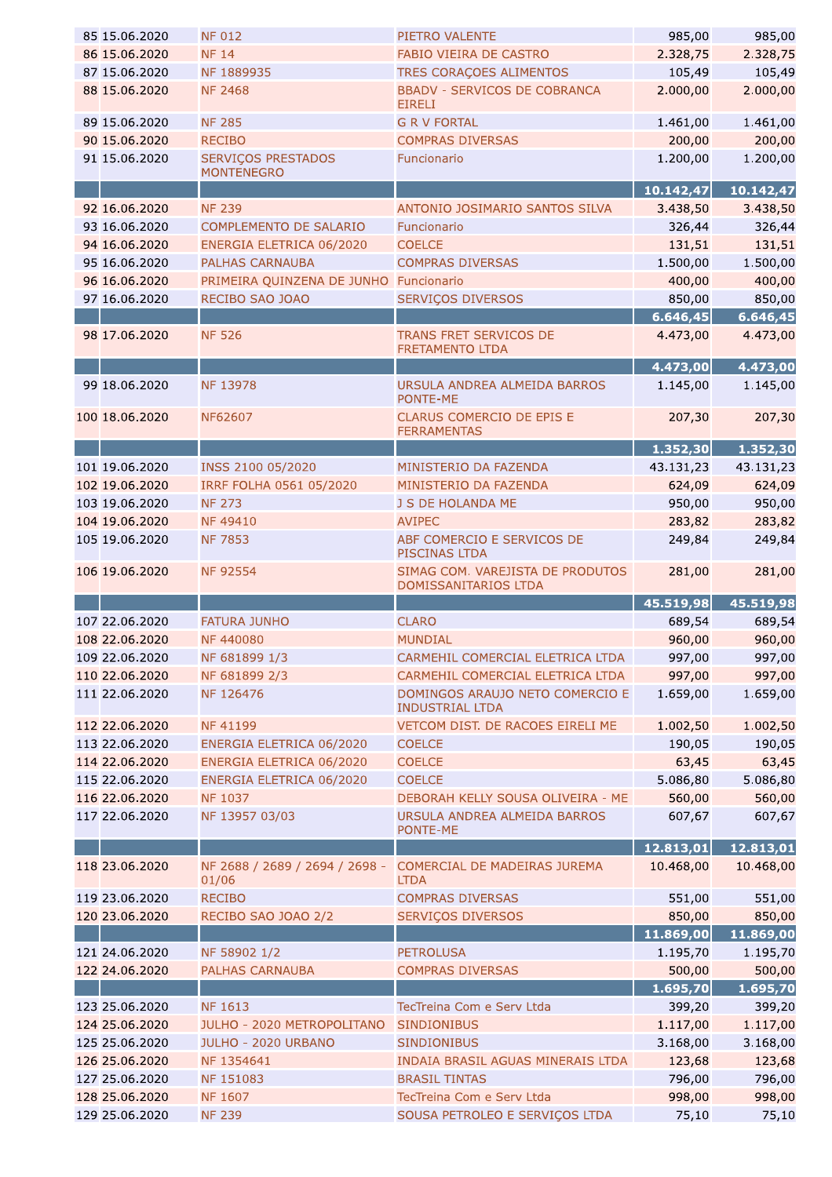| 85 15.06.2020                    | <b>NF 012</b>                           | PIETRO VALENTE                                              | 985,00          | 985,00          |
|----------------------------------|-----------------------------------------|-------------------------------------------------------------|-----------------|-----------------|
| 86 15.06.2020                    | <b>NF 14</b>                            | <b>FABIO VIEIRA DE CASTRO</b>                               | 2.328,75        | 2.328,75        |
| 87 15.06.2020                    | NF 1889935                              | TRES CORAÇOES ALIMENTOS                                     | 105,49          | 105,49          |
| 88 15.06.2020                    | <b>NF 2468</b>                          | <b>BBADV - SERVICOS DE COBRANCA</b><br><b>EIRELI</b>        | 2.000,00        | 2.000,00        |
| 89 15.06.2020                    | <b>NF 285</b>                           | <b>G R V FORTAL</b>                                         | 1.461,00        | 1.461,00        |
| 90 15.06.2020                    | <b>RECIBO</b>                           | <b>COMPRAS DIVERSAS</b>                                     | 200,00          | 200,00          |
| 91 15.06.2020                    | SERVIÇOS PRESTADOS<br><b>MONTENEGRO</b> | Funcionario                                                 | 1.200,00        | 1.200,00        |
|                                  |                                         |                                                             | 10.142,47       | 10.142,47       |
| 92 16.06.2020                    | <b>NF 239</b>                           | ANTONIO JOSIMARIO SANTOS SILVA                              | 3.438,50        | 3.438,50        |
| 93 16.06.2020                    |                                         | Funcionario                                                 |                 |                 |
|                                  | COMPLEMENTO DE SALARIO                  |                                                             | 326,44          | 326,44          |
| 94 16.06.2020                    | ENERGIA ELETRICA 06/2020                | <b>COELCE</b>                                               | 131,51          | 131,51          |
| 95 16.06.2020                    | <b>PALHAS CARNAUBA</b>                  | <b>COMPRAS DIVERSAS</b>                                     | 1.500,00        | 1.500,00        |
| 96 16.06.2020                    | PRIMEIRA QUINZENA DE JUNHO Funcionario  |                                                             | 400,00          | 400,00          |
| 97 16.06.2020                    | RECIBO SAO JOAO                         | <b>SERVIÇOS DIVERSOS</b>                                    | 850,00          | 850,00          |
|                                  |                                         |                                                             | 6.646,45        | 6.646,45        |
| 98 17.06.2020                    | <b>NF 526</b>                           | TRANS FRET SERVICOS DE<br><b>FRETAMENTO LTDA</b>            | 4.473,00        | 4.473,00        |
|                                  |                                         |                                                             | 4.473,00        | 4.473,00        |
| 99 18.06.2020                    | <b>NF 13978</b>                         | URSULA ANDREA ALMEIDA BARROS<br>PONTE-ME                    | 1.145,00        | 1.145,00        |
| 100 18.06.2020                   | NF62607                                 | CLARUS COMERCIO DE EPIS E<br><b>FERRAMENTAS</b>             | 207,30          | 207,30          |
|                                  |                                         |                                                             | 1.352,30        | 1.352,30        |
| 101 19.06.2020                   | INSS 2100 05/2020                       | MINISTERIO DA FAZENDA                                       | 43.131,23       | 43.131,23       |
| 102 19.06.2020                   | IRRF FOLHA 0561 05/2020                 | MINISTERIO DA FAZENDA                                       | 624,09          | 624,09          |
| 103 19.06.2020                   | <b>NF 273</b>                           | J S DE HOLANDA ME                                           | 950,00          | 950,00          |
| 104 19.06.2020                   | <b>NF49410</b>                          | <b>AVIPEC</b>                                               | 283,82          | 283,82          |
| 105 19.06.2020                   | <b>NF 7853</b>                          | ABF COMERCIO E SERVICOS DE<br>PISCINAS LTDA                 | 249,84          | 249,84          |
| 106 19.06.2020                   | <b>NF 92554</b>                         | SIMAG COM. VAREJISTA DE PRODUTOS                            | 281,00          | 281,00          |
|                                  |                                         | DOMISSANITARIOS LTDA                                        |                 |                 |
|                                  |                                         |                                                             |                 | 45.519,98       |
|                                  |                                         | <b>CLARO</b>                                                | 45.519,98       |                 |
| 107 22.06.2020                   | <b>FATURA JUNHO</b><br><b>NF440080</b>  |                                                             | 689,54          | 689,54          |
| 108 22.06.2020                   |                                         | <b>MUNDIAL</b>                                              | 960,00          | 960,00          |
| 109 22.06.2020                   | NF 681899 1/3                           | CARMEHIL COMERCIAL ELETRICA LTDA                            | 997,00          | 997,00          |
| 110 22.06.2020                   | NF 681899 2/3                           | CARMEHIL COMERCIAL ELETRICA LTDA                            | 997,00          | 997,00          |
| 111 22.06.2020                   | NF 126476                               | DOMINGOS ARAUJO NETO COMERCIO E<br><b>INDUSTRIAL LTDA</b>   | 1.659,00        | 1.659,00        |
| 112 22.06.2020                   | NF 41199                                | VETCOM DIST. DE RACOES EIRELI ME                            | 1.002,50        | 1.002,50        |
| 113 22.06.2020                   | ENERGIA ELETRICA 06/2020                | <b>COELCE</b>                                               | 190,05          | 190,05          |
| 114 22.06.2020                   | ENERGIA ELETRICA 06/2020                | <b>COELCE</b>                                               | 63,45           | 63,45           |
| 115 22.06.2020                   | ENERGIA ELETRICA 06/2020                | <b>COELCE</b>                                               | 5.086,80        | 5.086,80        |
| 116 22.06.2020                   | NF 1037                                 | DEBORAH KELLY SOUSA OLIVEIRA - ME                           | 560,00          | 560,00          |
| 117 22.06.2020                   | NF 13957 03/03                          | URSULA ANDREA ALMEIDA BARROS                                | 607,67          | 607,67          |
|                                  |                                         | PONTE-ME                                                    |                 |                 |
|                                  |                                         |                                                             | 12.813,01       | 12.813,01       |
| 118 23.06.2020                   | NF 2688 / 2689 / 2694 / 2698 -<br>01/06 | <b>COMERCIAL DE MADEIRAS JUREMA</b><br><b>LTDA</b>          | 10.468,00       | 10.468,00       |
| 119 23.06.2020                   | <b>RECIBO</b>                           | <b>COMPRAS DIVERSAS</b>                                     | 551,00          | 551,00          |
| 120 23.06.2020                   | RECIBO SAO JOAO 2/2                     | <b>SERVIÇOS DIVERSOS</b>                                    | 850,00          | 850,00          |
|                                  |                                         |                                                             | 11.869,00       | 11.869,00       |
| 121 24.06.2020                   | NF 58902 1/2                            | <b>PETROLUSA</b>                                            | 1.195,70        | 1.195,70        |
| 122 24.06.2020                   | PALHAS CARNAUBA                         | <b>COMPRAS DIVERSAS</b>                                     | 500,00          | 500,00          |
|                                  |                                         |                                                             | 1.695,70        | 1.695,70        |
| 123 25.06.2020                   | <b>NF 1613</b>                          | TecTreina Com e Serv Ltda                                   | 399,20          | 399,20          |
| 124 25.06.2020                   | <b>JULHO - 2020 METROPOLITANO</b>       | <b>SINDIONIBUS</b>                                          | 1.117,00        | 1.117,00        |
| 125 25.06.2020                   | JULHO - 2020 URBANO                     | <b>SINDIONIBUS</b>                                          |                 |                 |
|                                  |                                         |                                                             | 3.168,00        | 3.168,00        |
| 126 25.06.2020                   | NF 1354641                              | INDAIA BRASIL AGUAS MINERAIS LTDA                           | 123,68          | 123,68          |
| 127 25.06.2020                   | NF 151083                               | <b>BRASIL TINTAS</b>                                        | 796,00          | 796,00          |
| 128 25.06.2020<br>129 25.06.2020 | NF 1607<br><b>NF 239</b>                | TecTreina Com e Serv Ltda<br>SOUSA PETROLEO E SERVIÇOS LTDA | 998,00<br>75,10 | 998,00<br>75,10 |